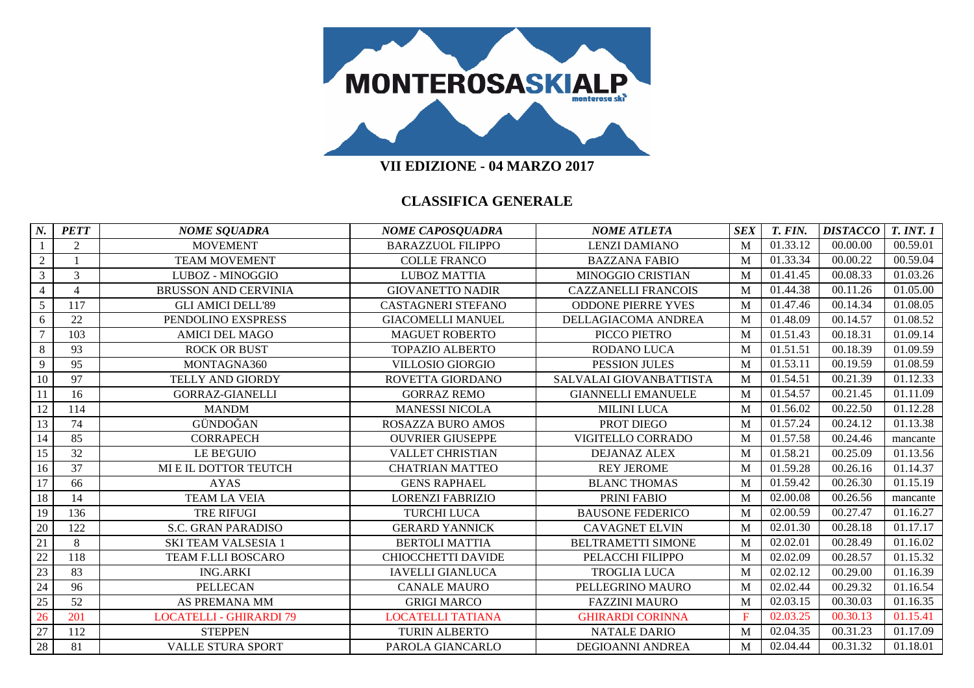

| $N_{\cdot}$    | <b>PETT</b> | <b>NOME SQUADRA</b>            | <b>NOME CAPOSQUADRA</b>   | <b>NOME ATLETA</b>         | <b>SEX</b> | T. FIN.  | <b>DISTACCO</b> | <b>T. INT. 1</b> |
|----------------|-------------|--------------------------------|---------------------------|----------------------------|------------|----------|-----------------|------------------|
|                | 2           | <b>MOVEMENT</b>                | <b>BARAZZUOL FILIPPO</b>  | <b>LENZI DAMIANO</b>       | M          | 01.33.12 | 00.00.00        | 00.59.01         |
| $\overline{2}$ |             | <b>TEAM MOVEMENT</b>           | <b>COLLE FRANCO</b>       | <b>BAZZANA FABIO</b>       | M          | 01.33.34 | 00.00.22        | 00.59.04         |
| $\overline{3}$ | 3           | LUBOZ - MINOGGIO               | <b>LUBOZ MATTIA</b>       | MINOGGIO CRISTIAN          | M          | 01.41.45 | 00.08.33        | 01.03.26         |
| $\overline{4}$ | 4           | <b>BRUSSON AND CERVINIA</b>    | <b>GIOVANETTO NADIR</b>   | <b>CAZZANELLI FRANCOIS</b> | M          | 01.44.38 | 00.11.26        | 01.05.00         |
| 5              | 117         | <b>GLI AMICI DELL'89</b>       | <b>CASTAGNERI STEFANO</b> | <b>ODDONE PIERRE YVES</b>  | M          | 01.47.46 | 00.14.34        | 01.08.05         |
| 6              | 22          | PENDOLINO EXSPRESS             | <b>GIACOMELLI MANUEL</b>  | DELLAGIACOMA ANDREA        | M          | 01.48.09 | 00.14.57        | 01.08.52         |
| $\tau$         | 103         | <b>AMICI DEL MAGO</b>          | <b>MAGUET ROBERTO</b>     | PICCO PIETRO               | M          | 01.51.43 | 00.18.31        | 01.09.14         |
| 8              | 93          | <b>ROCK OR BUST</b>            | <b>TOPAZIO ALBERTO</b>    | RODANO LUCA                | M          | 01.51.51 | 00.18.39        | 01.09.59         |
| 9              | 95          | MONTAGNA360                    | <b>VILLOSIO GIORGIO</b>   | <b>PESSION JULES</b>       | M          | 01.53.11 | 00.19.59        | 01.08.59         |
| 10             | 97          | TELLY AND GIORDY               | ROVETTA GIORDANO          | SALVALAI GIOVANBATTISTA    | M          | 01.54.51 | 00.21.39        | 01.12.33         |
| 11             | 16          | <b>GORRAZ-GIANELLI</b>         | <b>GORRAZ REMO</b>        | <b>GIANNELLI EMANUELE</b>  | M          | 01.54.57 | 00.21.45        | 01.11.09         |
| 12             | 114         | <b>MANDM</b>                   | <b>MANESSI NICOLA</b>     | <b>MILINI LUCA</b>         | M          | 01.56.02 | 00.22.50        | 01.12.28         |
| 13             | 74          | GÜNDOĞAN                       | <b>ROSAZZA BURO AMOS</b>  | PROT DIEGO                 | M          | 01.57.24 | 00.24.12        | 01.13.38         |
| 14             | 85          | <b>CORRAPECH</b>               | <b>OUVRIER GIUSEPPE</b>   | VIGITELLO CORRADO          | M          | 01.57.58 | 00.24.46        | mancante         |
| 15             | 32          | <b>LE BE'GUIO</b>              | <b>VALLET CHRISTIAN</b>   | <b>DEJANAZ ALEX</b>        | M          | 01.58.21 | 00.25.09        | 01.13.56         |
| 16             | 37          | MI E IL DOTTOR TEUTCH          | <b>CHATRIAN MATTEO</b>    | <b>REY JEROME</b>          | M          | 01.59.28 | 00.26.16        | 01.14.37         |
| 17             | 66          | <b>AYAS</b>                    | <b>GENS RAPHAEL</b>       | <b>BLANC THOMAS</b>        | M          | 01.59.42 | 00.26.30        | 01.15.19         |
| 18             | 14          | <b>TEAM LA VEIA</b>            | <b>LORENZI FABRIZIO</b>   | PRINI FABIO                | M          | 02.00.08 | 00.26.56        | mancante         |
| 19             | 136         | <b>TRE RIFUGI</b>              | <b>TURCHI LUCA</b>        | <b>BAUSONE FEDERICO</b>    | M          | 02.00.59 | 00.27.47        | 01.16.27         |
| 20             | 122         | <b>S.C. GRAN PARADISO</b>      | <b>GERARD YANNICK</b>     | <b>CAVAGNET ELVIN</b>      | M          | 02.01.30 | 00.28.18        | 01.17.17         |
| 21             | 8           | <b>SKI TEAM VALSESIA 1</b>     | <b>BERTOLI MATTIA</b>     | <b>BELTRAMETTI SIMONE</b>  | M          | 02.02.01 | 00.28.49        | 01.16.02         |
| 22             | 118         | TEAM F.LLI BOSCARO             | <b>CHIOCCHETTI DAVIDE</b> | PELACCHI FILIPPO           | M          | 02.02.09 | 00.28.57        | 01.15.32         |
| 23             | 83          | <b>ING.ARKI</b>                | <b>IAVELLI GIANLUCA</b>   | <b>TROGLIA LUCA</b>        | M          | 02.02.12 | 00.29.00        | 01.16.39         |
| 24             | 96          | <b>PELLECAN</b>                | <b>CANALE MAURO</b>       | PELLEGRINO MAURO           | M          | 02.02.44 | 00.29.32        | 01.16.54         |
| 25             | 52          | AS PREMANA MM                  | <b>GRIGI MARCO</b>        | <b>FAZZINI MAURO</b>       | M          | 02.03.15 | 00.30.03        | 01.16.35         |
| 26             | 201         | <b>LOCATELLI - GHIRARDI 79</b> | LOCATELLI TATIANA         | <b>GHIRARDI CORINNA</b>    | F          | 02.03.25 | 00.30.13        | 01.15.41         |
| 27             | 112         | <b>STEPPEN</b>                 | <b>TURIN ALBERTO</b>      | <b>NATALE DARIO</b>        | M          | 02.04.35 | 00.31.23        | 01.17.09         |
| 28             | 81          | <b>VALLE STURA SPORT</b>       | PAROLA GIANCARLO          | <b>DEGIOANNI ANDREA</b>    | M          | 02.04.44 | 00.31.32        | 01.18.01         |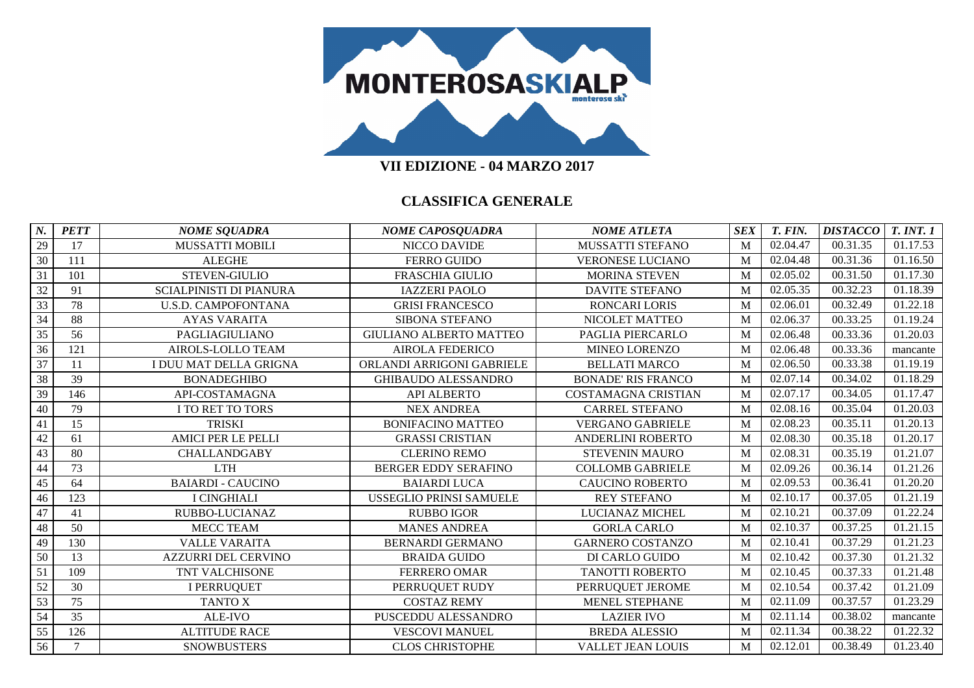

| N.              | <b>PETT</b> | <b>NOME SQUADRA</b>            | <b>NOME CAPOSQUADRA</b>        | <b>NOME ATLETA</b>        | <b>SEX</b> | T. FIN.  | <b>DISTACCO</b> | <b>T. INT. 1</b> |
|-----------------|-------------|--------------------------------|--------------------------------|---------------------------|------------|----------|-----------------|------------------|
| 29              | 17          | <b>MUSSATTI MOBILI</b>         | NICCO DAVIDE                   | MUSSATTI STEFANO          | M          | 02.04.47 | 00.31.35        | 01.17.53         |
| 30              | 111         | <b>ALEGHE</b>                  | <b>FERRO GUIDO</b>             | <b>VERONESE LUCIANO</b>   | M          | 02.04.48 | 00.31.36        | 01.16.50         |
| 31              | 101         | STEVEN-GIULIO                  | <b>FRASCHIA GIULIO</b>         | <b>MORINA STEVEN</b>      | M          | 02.05.02 | 00.31.50        | 01.17.30         |
| 32              | 91          | <b>SCIALPINISTI DI PIANURA</b> | <b>IAZZERI PAOLO</b>           | <b>DAVITE STEFANO</b>     | M          | 02.05.35 | 00.32.23        | 01.18.39         |
| 33              | 78          | <b>U.S.D. CAMPOFONTANA</b>     | <b>GRISI FRANCESCO</b>         | <b>RONCARI LORIS</b>      | M          | 02.06.01 | 00.32.49        | 01.22.18         |
| 34              | 88          | <b>AYAS VARAITA</b>            | SIBONA STEFANO                 | NICOLET MATTEO            | M          | 02.06.37 | 00.33.25        | 01.19.24         |
| 35              | 56          | PAGLIAGIULIANO                 | <b>GIULIANO ALBERTO MATTEO</b> | PAGLIA PIERCARLO          | M          | 02.06.48 | 00.33.36        | 01.20.03         |
| 36              | 121         | <b>AIROLS-LOLLO TEAM</b>       | <b>AIROLA FEDERICO</b>         | MINEO LORENZO             | M          | 02.06.48 | 00.33.36        | mancante         |
| 37              | 11          | I DUU MAT DELLA GRIGNA         | ORLANDI ARRIGONI GABRIELE      | <b>BELLATI MARCO</b>      | M          | 02.06.50 | 00.33.38        | 01.19.19         |
| 38              | 39          | <b>BONADEGHIBO</b>             | <b>GHIBAUDO ALESSANDRO</b>     | <b>BONADE' RIS FRANCO</b> | M          | 02.07.14 | 00.34.02        | 01.18.29         |
| 39              | 146         | API-COSTAMAGNA                 | <b>API ALBERTO</b>             | COSTAMAGNA CRISTIAN       | M          | 02.07.17 | 00.34.05        | 01.17.47         |
| 40              | 79          | I TO RET TO TORS               | <b>NEX ANDREA</b>              | <b>CARREL STEFANO</b>     | M          | 02.08.16 | 00.35.04        | 01.20.03         |
| 41              | 15          | <b>TRISKI</b>                  | <b>BONIFACINO MATTEO</b>       | <b>VERGANO GABRIELE</b>   | M          | 02.08.23 | 00.35.11        | 01.20.13         |
| 42              | 61          | <b>AMICI PER LE PELLI</b>      | <b>GRASSI CRISTIAN</b>         | <b>ANDERLINI ROBERTO</b>  | M          | 02.08.30 | 00.35.18        | 01.20.17         |
| 43              | 80          | <b>CHALLANDGABY</b>            | <b>CLERINO REMO</b>            | <b>STEVENIN MAURO</b>     | M          | 02.08.31 | 00.35.19        | 01.21.07         |
| 44              | 73          | <b>LTH</b>                     | <b>BERGER EDDY SERAFINO</b>    | <b>COLLOMB GABRIELE</b>   | M          | 02.09.26 | 00.36.14        | 01.21.26         |
| 45              | 64          | <b>BAIARDI - CAUCINO</b>       | <b>BAIARDI LUCA</b>            | <b>CAUCINO ROBERTO</b>    | M          | 02.09.53 | 00.36.41        | 01.20.20         |
| 46              | 123         | <b>I CINGHIALI</b>             | <b>USSEGLIO PRINSI SAMUELE</b> | <b>REY STEFANO</b>        | M          | 02.10.17 | 00.37.05        | 01.21.19         |
| 47              | 41          | RUBBO-LUCIANAZ                 | <b>RUBBO IGOR</b>              | LUCIANAZ MICHEL           | M          | 02.10.21 | 00.37.09        | 01.22.24         |
| 48              | 50          | MECC TEAM                      | <b>MANES ANDREA</b>            | <b>GORLA CARLO</b>        | M          | 02.10.37 | 00.37.25        | 01.21.15         |
| 49              | 130         | <b>VALLE VARAITA</b>           | <b>BERNARDI GERMANO</b>        | <b>GARNERO COSTANZO</b>   | M          | 02.10.41 | 00.37.29        | 01.21.23         |
| 50              | 13          | <b>AZZURRI DEL CERVINO</b>     | <b>BRAIDA GUIDO</b>            | DI CARLO GUIDO            | M          | 02.10.42 | 00.37.30        | 01.21.32         |
| 51              | 109         | TNT VALCHISONE                 | <b>FERRERO OMAR</b>            | <b>TANOTTI ROBERTO</b>    | M          | 02.10.45 | 00.37.33        | 01.21.48         |
| 52              | 30          | <b>I PERRUQUET</b>             | PERRUQUET RUDY                 | PERRUQUET JEROME          | M          | 02.10.54 | 00.37.42        | 01.21.09         |
| 53              | 75          | <b>TANTO X</b>                 | <b>COSTAZ REMY</b>             | MENEL STEPHANE            | M          | 02.11.09 | 00.37.57        | 01.23.29         |
| 54              | 35          | ALE-IVO                        | PUSCEDDU ALESSANDRO            | <b>LAZIER IVO</b>         | M          | 02.11.14 | 00.38.02        | mancante         |
| $\overline{55}$ | 126         | <b>ALTITUDE RACE</b>           | <b>VESCOVI MANUEL</b>          | <b>BREDA ALESSIO</b>      | M          | 02.11.34 | 00.38.22        | 01.22.32         |
| $\overline{56}$ | $\tau$      | <b>SNOWBUSTERS</b>             | <b>CLOS CHRISTOPHE</b>         | <b>VALLET JEAN LOUIS</b>  | M          | 02.12.01 | 00.38.49        | 01.23.40         |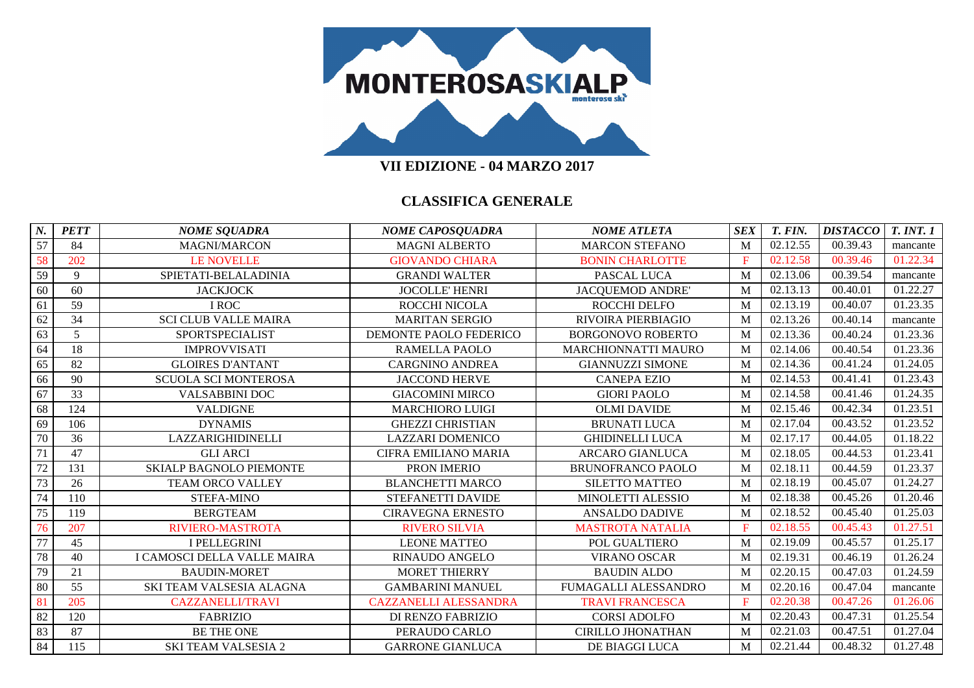

| N. | <b>PETT</b>     | <b>NOME SQUADRA</b>            | <b>NOME CAPOSQUADRA</b>      | <b>NOME ATLETA</b>         | <b>SEX</b>   | T. FIN.  | <b>DISTACCO</b> | <b>T. INT. 1</b> |
|----|-----------------|--------------------------------|------------------------------|----------------------------|--------------|----------|-----------------|------------------|
| 57 | 84              | <b>MAGNI/MARCON</b>            | MAGNI ALBERTO                | <b>MARCON STEFANO</b>      | M            | 02.12.55 | 00.39.43        | mancante         |
| 58 | 202             | <b>LE NOVELLE</b>              | <b>GIOVANDO CHIARA</b>       | <b>BONIN CHARLOTTE</b>     | $\mathbf{F}$ | 02.12.58 | 00.39.46        | 01.22.34         |
| 59 | 9               | SPIETATI-BELALADINIA           | <b>GRANDI WALTER</b>         | PASCAL LUCA                | M            | 02.13.06 | 00.39.54        | mancante         |
| 60 | 60              | <b>JACKJOCK</b>                | <b>JOCOLLE' HENRI</b>        | <b>JACQUEMOD ANDRE</b>     | M            | 02.13.13 | 00.40.01        | 01.22.27         |
| 61 | 59              | I ROC                          | ROCCHI NICOLA                | ROCCHI DELFO               | M            | 02.13.19 | 00.40.07        | 01.23.35         |
| 62 | $\overline{34}$ | <b>SCI CLUB VALLE MAIRA</b>    | <b>MARITAN SERGIO</b>        | <b>RIVOIRA PIERBIAGIO</b>  | M            | 02.13.26 | 00.40.14        | mancante         |
| 63 | 5 <sup>5</sup>  | SPORTSPECIALIST                | DEMONTE PAOLO FEDERICO       | <b>BORGONOVO ROBERTO</b>   | M            | 02.13.36 | 00.40.24        | 01.23.36         |
| 64 | 18              | <b>IMPROVVISATI</b>            | <b>RAMELLA PAOLO</b>         | <b>MARCHIONNATTI MAURO</b> | M            | 02.14.06 | 00.40.54        | 01.23.36         |
| 65 | 82              | <b>GLOIRES D'ANTANT</b>        | <b>CARGNINO ANDREA</b>       | <b>GIANNUZZI SIMONE</b>    | M            | 02.14.36 | 00.41.24        | 01.24.05         |
| 66 | 90              | <b>SCUOLA SCI MONTEROSA</b>    | <b>JACCOND HERVE</b>         | <b>CANEPA EZIO</b>         | M            | 02.14.53 | 00.41.41        | 01.23.43         |
| 67 | 33              | <b>VALSABBINI DOC</b>          | <b>GIACOMINI MIRCO</b>       | <b>GIORI PAOLO</b>         | M            | 02.14.58 | 00.41.46        | 01.24.35         |
| 68 | 124             | <b>VALDIGNE</b>                | <b>MARCHIORO LUIGI</b>       | <b>OLMI DAVIDE</b>         | M            | 02.15.46 | 00.42.34        | 01.23.51         |
| 69 | 106             | <b>DYNAMIS</b>                 | <b>GHEZZI CHRISTIAN</b>      | <b>BRUNATI LUCA</b>        | M            | 02.17.04 | 00.43.52        | 01.23.52         |
| 70 | 36              | LAZZARIGHIDINELLI              | <b>LAZZARI DOMENICO</b>      | <b>GHIDINELLI LUCA</b>     | M            | 02.17.17 | 00.44.05        | 01.18.22         |
| 71 | 47              | <b>GLI ARCI</b>                | <b>CIFRA EMILIANO MARIA</b>  | <b>ARCARO GIANLUCA</b>     | M            | 02.18.05 | 00.44.53        | 01.23.41         |
| 72 | 131             | <b>SKIALP BAGNOLO PIEMONTE</b> | PRON IMERIO                  | <b>BRUNOFRANCO PAOLO</b>   | M            | 02.18.11 | 00.44.59        | 01.23.37         |
| 73 | 26              | <b>TEAM ORCO VALLEY</b>        | <b>BLANCHETTI MARCO</b>      | <b>SILETTO MATTEO</b>      | M            | 02.18.19 | 00.45.07        | 01.24.27         |
| 74 | 110             | <b>STEFA-MINO</b>              | STEFANETTI DAVIDE            | MINOLETTI ALESSIO          | M            | 02.18.38 | 00.45.26        | 01.20.46         |
| 75 | 119             | <b>BERGTEAM</b>                | <b>CIRAVEGNA ERNESTO</b>     | <b>ANSALDO DADIVE</b>      | M            | 02.18.52 | 00.45.40        | 01.25.03         |
| 76 | 207             | RIVIERO-MASTROTA               | <b>RIVERO SILVIA</b>         | <b>MASTROTA NATALIA</b>    | E            | 02.18.55 | 00.45.43        | 01.27.51         |
| 77 | 45              | <b>I PELLEGRINI</b>            | <b>LEONE MATTEO</b>          | POL GUALTIERO              | M            | 02.19.09 | 00.45.57        | 01.25.17         |
| 78 | 40              | I CAMOSCI DELLA VALLE MAIRA    | <b>RINAUDO ANGELO</b>        | <b>VIRANO OSCAR</b>        | M            | 02.19.31 | 00.46.19        | 01.26.24         |
| 79 | 21              | <b>BAUDIN-MORET</b>            | <b>MORET THIERRY</b>         | <b>BAUDIN ALDO</b>         | M            | 02.20.15 | 00.47.03        | 01.24.59         |
| 80 | 55              | SKI TEAM VALSESIA ALAGNA       | <b>GAMBARINI MANUEL</b>      | FUMAGALLI ALESSANDRO       | M            | 02.20.16 | 00.47.04        | mancante         |
| 81 | 205             | <b>CAZZANELLI/TRAVI</b>        | <b>CAZZANELLI ALESSANDRA</b> | <b>TRAVI FRANCESCA</b>     | F            | 02.20.38 | 00.47.26        | 01.26.06         |
| 82 | 120             | <b>FABRIZIO</b>                | DI RENZO FABRIZIO            | <b>CORSI ADOLFO</b>        | M            | 02.20.43 | 00.47.31        | 01.25.54         |
| 83 | 87              | <b>BE THE ONE</b>              | PERAUDO CARLO                | <b>CIRILLO JHONATHAN</b>   | M            | 02.21.03 | 00.47.51        | 01.27.04         |
| 84 | 115             | <b>SKI TEAM VALSESIA 2</b>     | <b>GARRONE GIANLUCA</b>      | DE BIAGGI LUCA             | M            | 02.21.44 | 00.48.32        | 01.27.48         |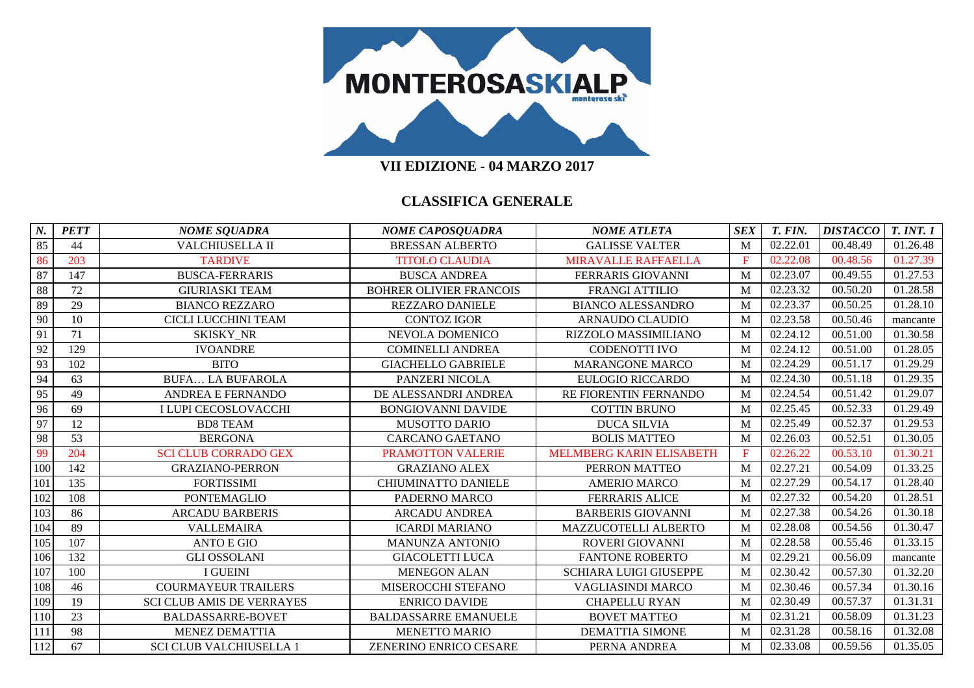

| N.  | <b>PETT</b> | <b>NOME SQUADRA</b>              | <b>NOME CAPOSQUADRA</b>        | <b>NOME ATLETA</b>              | <b>SEX</b>  | T. FIN.  | <b>DISTACCO</b> | <b>T. INT. 1</b>      |
|-----|-------------|----------------------------------|--------------------------------|---------------------------------|-------------|----------|-----------------|-----------------------|
| 85  | 44          | VALCHIUSELLA II                  | <b>BRESSAN ALBERTO</b>         | <b>GALISSE VALTER</b>           | M           | 02.22.01 | 00.48.49        | 01.26.48              |
| 86  | 203         | <b>TARDIVE</b>                   | <b>TITOLO CLAUDIA</b>          | <b>MIRAVALLE RAFFAELLA</b>      | F           | 02.22.08 | 00.48.56        | 01.27.39              |
| 87  | 147         | <b>BUSCA-FERRARIS</b>            | <b>BUSCA ANDREA</b>            | FERRARIS GIOVANNI               | M           | 02.23.07 | 00.49.55        | 01.27.53              |
| 88  | 72          | <b>GIURIASKI TEAM</b>            | <b>BOHRER OLIVIER FRANCOIS</b> | <b>FRANGI ATTILIO</b>           | M           | 02.23.32 | 00.50.20        | 01.28.58              |
| 89  | 29          | <b>BIANCO REZZARO</b>            | <b>REZZARO DANIELE</b>         | <b>BIANCO ALESSANDRO</b>        | M           | 02.23.37 | 00.50.25        | 01.28.10              |
| 90  | 10          | CICLI LUCCHINI TEAM              | <b>CONTOZ IGOR</b>             | <b>ARNAUDO CLAUDIO</b>          | M           | 02.23.58 | 00.50.46        | mancante              |
| 91  | 71          | SKISKY_NR                        | NEVOLA DOMENICO                | RIZZOLO MASSIMILIANO            | M           | 02.24.12 | 00.51.00        | 01.30.58              |
| 92  | 129         | <b>IVOANDRE</b>                  | <b>COMINELLI ANDREA</b>        | <b>CODENOTTI IVO</b>            | M           | 02.24.12 | 00.51.00        | 01.28.05              |
| 93  | 102         | <b>BITO</b>                      | <b>GIACHELLO GABRIELE</b>      | <b>MARANGONE MARCO</b>          | M           | 02.24.29 | 00.51.17        | 01.29.29              |
| 94  | 63          | <b>BUFA LA BUFAROLA</b>          | PANZERI NICOLA                 | <b>EULOGIO RICCARDO</b>         | M           | 02.24.30 | 00.51.18        | 01.29.35              |
| 95  | 49          | <b>ANDREA E FERNANDO</b>         | DE ALESSANDRI ANDREA           | RE FIORENTIN FERNANDO           | M           | 02.24.54 | 00.51.42        | 01.29.07              |
| 96  | 69          | I LUPI CECOSLOVACCHI             | <b>BONGIOVANNI DAVIDE</b>      | <b>COTTIN BRUNO</b>             | M           | 02.25.45 | 00.52.33        | 01.29.49              |
| 97  | 12          | <b>BD8 TEAM</b>                  | <b>MUSOTTO DARIO</b>           | <b>DUCA SILVIA</b>              | M           | 02.25.49 | 00.52.37        | 01.29.53              |
| 98  | 53          | <b>BERGONA</b>                   | <b>CARCANO GAETANO</b>         | <b>BOLIS MATTEO</b>             | M           | 02.26.03 | 00.52.51        | 01.30.05              |
| 99  | 204         | <b>SCI CLUB CORRADO GEX</b>      | <b>PRAMOTTON VALERIE</b>       | <b>MELMBERG KARIN ELISABETH</b> | $\mathbf F$ | 02.26.22 | 00.53.10        | 01.30.21              |
| 100 | 142         | <b>GRAZIANO-PERRON</b>           | <b>GRAZIANO ALEX</b>           | PERRON MATTEO                   | M           | 02.27.21 | 00.54.09        | 01.33.25              |
| 101 | 135         | <b>FORTISSIMI</b>                | <b>CHIUMINATTO DANIELE</b>     | <b>AMERIO MARCO</b>             | M           | 02.27.29 | 00.54.17        | 01.28.40              |
| 102 | 108         | <b>PONTEMAGLIO</b>               | PADERNO MARCO                  | <b>FERRARIS ALICE</b>           | M           | 02.27.32 | 00.54.20        | 01.28.51              |
| 103 | 86          | <b>ARCADU BARBERIS</b>           | <b>ARCADU ANDREA</b>           | <b>BARBERIS GIOVANNI</b>        | M           | 02.27.38 | 00.54.26        | 01.30.18              |
| 104 | 89          | <b>VALLEMAIRA</b>                | <b>ICARDI MARIANO</b>          | MAZZUCOTELLI ALBERTO            | M           | 02.28.08 | 00.54.56        | 01.30.47              |
| 105 | 107         | <b>ANTO E GIO</b>                | MANUNZA ANTONIO                | ROVERI GIOVANNI                 | M           | 02.28.58 | 00.55.46        | 01.33.15              |
| 106 | 132         | <b>GLI OSSOLANI</b>              | <b>GIACOLETTI LUCA</b>         | <b>FANTONE ROBERTO</b>          | M           | 02.29.21 | 00.56.09        | mancante              |
| 107 | 100         | <b>I GUEINI</b>                  | <b>MENEGON ALAN</b>            | <b>SCHIARA LUIGI GIUSEPPE</b>   | M           | 02.30.42 | 00.57.30        | 01.32.20              |
| 108 | 46          | <b>COURMAYEUR TRAILERS</b>       | MISEROCCHI STEFANO             | <b>VAGLIASINDI MARCO</b>        | M           | 02.30.46 | 00.57.34        | 01.30.16              |
| 109 | 19          | <b>SCI CLUB AMIS DE VERRAYES</b> | <b>ENRICO DAVIDE</b>           | <b>CHAPELLU RYAN</b>            | M           | 02.30.49 | 00.57.37        | 01.31.31              |
| 110 | 23          | <b>BALDASSARRE-BOVET</b>         | <b>BALDASSARRE EMANUELE</b>    | <b>BOVET MATTEO</b>             | M           | 02.31.21 | 00.58.09        | $\overline{01.31.23}$ |
| 111 | 98          | <b>MENEZ DEMATTIA</b>            | <b>MENETTO MARIO</b>           | <b>DEMATTIA SIMONE</b>          | M           | 02.31.28 | 00.58.16        | 01.32.08              |
| 112 | 67          | <b>SCI CLUB VALCHIUSELLA 1</b>   | ZENERINO ENRICO CESARE         | PERNA ANDREA                    | M           | 02.33.08 | 00.59.56        | 01.35.05              |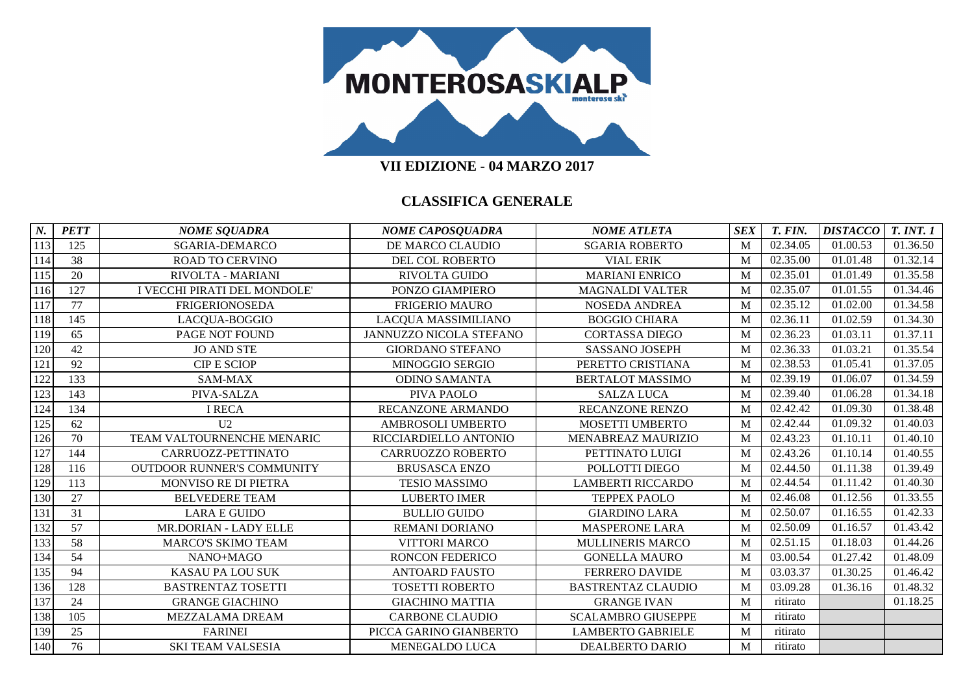

**VII EDIZIONE - 04 MARZO 2017**

| $N_{\cdot}$ | <b>PETT</b> | <b>NOME SQUADRA</b>               | <b>NOME CAPOSQUADRA</b>  | <b>NOME ATLETA</b>        | <b>SEX</b> | T. FIN.  | <b>DISTACCO</b> | <b>T. INT. 1</b> |
|-------------|-------------|-----------------------------------|--------------------------|---------------------------|------------|----------|-----------------|------------------|
| 113         | 125         | SGARIA-DEMARCO                    | DE MARCO CLAUDIO         | <b>SGARIA ROBERTO</b>     | M          | 02.34.05 | 01.00.53        | 01.36.50         |
| 114         | 38          | <b>ROAD TO CERVINO</b>            | DEL COL ROBERTO          | <b>VIAL ERIK</b>          | M          | 02.35.00 | 01.01.48        | 01.32.14         |
| 115         | 20          | RIVOLTA - MARIANI                 | RIVOLTA GUIDO            | <b>MARIANI ENRICO</b>     | M          | 02.35.01 | 01.01.49        | 01.35.58         |
| 116         | 127         | I VECCHI PIRATI DEL MONDOLE'      | PONZO GIAMPIERO          | <b>MAGNALDI VALTER</b>    | M          | 02.35.07 | 01.01.55        | 01.34.46         |
| 117         | 77          | <b>FRIGERIONOSEDA</b>             | <b>FRIGERIO MAURO</b>    | <b>NOSEDA ANDREA</b>      | M          | 02.35.12 | 01.02.00        | 01.34.58         |
| 118         | 145         | LACQUA-BOGGIO                     | LACQUA MASSIMILIANO      | <b>BOGGIO CHIARA</b>      | M          | 02.36.11 | 01.02.59        | 01.34.30         |
| 119         | 65          | PAGE NOT FOUND                    | JANNUZZO NICOLA STEFANO  | <b>CORTASSA DIEGO</b>     | M          | 02.36.23 | 01.03.11        | 01.37.11         |
| 120         | 42          | <b>JO AND STE</b>                 | <b>GIORDANO STEFANO</b>  | <b>SASSANO JOSEPH</b>     | M          | 02.36.33 | 01.03.21        | 01.35.54         |
| 121         | 92          | <b>CIP E SCIOP</b>                | MINOGGIO SERGIO          | PERETTO CRISTIANA         | M          | 02.38.53 | 01.05.41        | 01.37.05         |
| 122         | 133         | SAM-MAX                           | <b>ODINO SAMANTA</b>     | <b>BERTALOT MASSIMO</b>   | M          | 02.39.19 | 01.06.07        | 01.34.59         |
| 123         | 143         | PIVA-SALZA                        | PIVA PAOLO               | <b>SALZA LUCA</b>         | M          | 02.39.40 | 01.06.28        | 01.34.18         |
| 124         | 134         | <b>I RECA</b>                     | RECANZONE ARMANDO        | <b>RECANZONE RENZO</b>    | M          | 02.42.42 | 01.09.30        | 01.38.48         |
| 125         | 62          | U <sub>2</sub>                    | AMBROSOLI UMBERTO        | <b>MOSETTI UMBERTO</b>    | M          | 02.42.44 | 01.09.32        | 01.40.03         |
| 126         | 70          | TEAM VALTOURNENCHE MENARIC        | RICCIARDIELLO ANTONIO    | MENABREAZ MAURIZIO        | M          | 02.43.23 | 01.10.11        | 01.40.10         |
| 127         | 144         | CARRUOZZ-PETTINATO                | <b>CARRUOZZO ROBERTO</b> | PETTINATO LUIGI           | M          | 02.43.26 | 01.10.14        | 01.40.55         |
| 128         | 116         | <b>OUTDOOR RUNNER'S COMMUNITY</b> | <b>BRUSASCA ENZO</b>     | POLLOTTI DIEGO            | M          | 02.44.50 | 01.11.38        | 01.39.49         |
| 129         | 113         | <b>MONVISO RE DI PIETRA</b>       | <b>TESIO MASSIMO</b>     | <b>LAMBERTI RICCARDO</b>  | M          | 02.44.54 | 01.11.42        | 01.40.30         |
| 130         | 27          | <b>BELVEDERE TEAM</b>             | <b>LUBERTO IMER</b>      | <b>TEPPEX PAOLO</b>       | M          | 02.46.08 | 01.12.56        | 01.33.55         |
| 131         | 31          | <b>LARA E GUIDO</b>               | <b>BULLIO GUIDO</b>      | <b>GIARDINO LARA</b>      | M          | 02.50.07 | 01.16.55        | 01.42.33         |
| 132         | 57          | MR.DORIAN - LADY ELLE             | REMANI DORIANO           | <b>MASPERONE LARA</b>     | M          | 02.50.09 | 01.16.57        | 01.43.42         |
| 133         | 58          | <b>MARCO'S SKIMO TEAM</b>         | <b>VITTORI MARCO</b>     | <b>MULLINERIS MARCO</b>   | M          | 02.51.15 | 01.18.03        | 01.44.26         |
| 134         | 54          | NANO+MAGO                         | <b>RONCON FEDERICO</b>   | <b>GONELLA MAURO</b>      | M          | 03.00.54 | 01.27.42        | 01.48.09         |
| 135         | 94          | <b>KASAU PA LOU SUK</b>           | <b>ANTOARD FAUSTO</b>    | <b>FERRERO DAVIDE</b>     | M          | 03.03.37 | 01.30.25        | 01.46.42         |
| 136         | 128         | <b>BASTRENTAZ TOSETTI</b>         | <b>TOSETTI ROBERTO</b>   | <b>BASTRENTAZ CLAUDIO</b> | M          | 03.09.28 | 01.36.16        | 01.48.32         |
| 137         | 24          | <b>GRANGE GIACHINO</b>            | <b>GIACHINO MATTIA</b>   | <b>GRANGE IVAN</b>        | M          | ritirato |                 | 01.18.25         |
| 138         | 105         | MEZZALAMA DREAM                   | <b>CARBONE CLAUDIO</b>   | <b>SCALAMBRO GIUSEPPE</b> | M          | ritirato |                 |                  |
| 139         | 25          | <b>FARINEI</b>                    | PICCA GARINO GIANBERTO   | <b>LAMBERTO GABRIELE</b>  | M          | ritirato |                 |                  |
| 140         | 76          | <b>SKI TEAM VALSESIA</b>          | MENEGALDO LUCA           | <b>DEALBERTO DARIO</b>    | M          | ritirato |                 |                  |